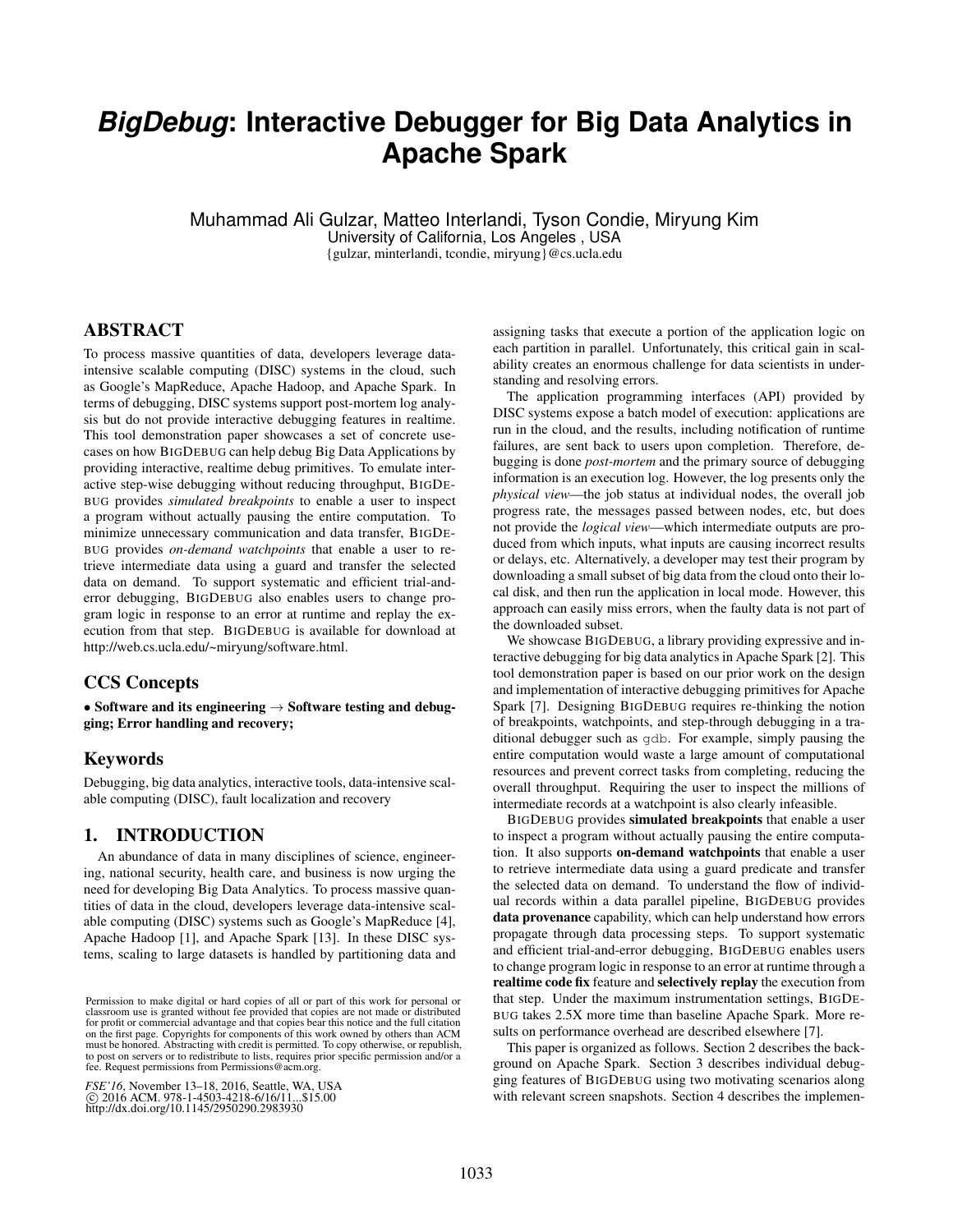# *BigDebug***: Interactive Debugger for Big Data Analytics in Apache Spark**

Muhammad Ali Gulzar, Matteo Interlandi, Tyson Condie, Miryung Kim University of California, Los Angeles , USA {gulzar, minterlandi, tcondie, miryung}@cs.ucla.edu

## ABSTRACT

To process massive quantities of data, developers leverage dataintensive scalable computing (DISC) systems in the cloud, such as Google's MapReduce, Apache Hadoop, and Apache Spark. In terms of debugging, DISC systems support post-mortem log analysis but do not provide interactive debugging features in realtime. This tool demonstration paper showcases a set of concrete usecases on how BIGDEBUG can help debug Big Data Applications by providing interactive, realtime debug primitives. To emulate interactive step-wise debugging without reducing throughput, BIGDE-BUG provides *simulated breakpoints* to enable a user to inspect a program without actually pausing the entire computation. To minimize unnecessary communication and data transfer, BIGDE-BUG provides *on-demand watchpoints* that enable a user to retrieve intermediate data using a guard and transfer the selected data on demand. To support systematic and efficient trial-anderror debugging, BIGDEBUG also enables users to change program logic in response to an error at runtime and replay the execution from that step. BIGDEBUG is available for download at http://web.cs.ucla.edu/~miryung/software.html.

## CCS Concepts

• Software and its engineering  $\rightarrow$  Software testing and debugging; Error handling and recovery;

## Keywords

Debugging, big data analytics, interactive tools, data-intensive scalable computing (DISC), fault localization and recovery

## 1. INTRODUCTION

An abundance of data in many disciplines of science, engineering, national security, health care, and business is now urging the need for developing Big Data Analytics. To process massive quantities of data in the cloud, developers leverage data-intensive scalable computing (DISC) systems such as Google's MapReduce [4], Apache Hadoop [1], and Apache Spark [13]. In these DISC systems, scaling to large datasets is handled by partitioning data and

*FSE'16*, November 13–18, 2016, Seattle, WA, USA © 2016 ACM. 978-1-4503-4218-6/16/11...\$15.00 http://dx.doi.org/10.1145/2950290.2983930

assigning tasks that execute a portion of the application logic on each partition in parallel. Unfortunately, this critical gain in scalability creates an enormous challenge for data scientists in understanding and resolving errors.

The application programming interfaces (API) provided by DISC systems expose a batch model of execution: applications are run in the cloud, and the results, including notification of runtime failures, are sent back to users upon completion. Therefore, debugging is done *post-mortem* and the primary source of debugging information is an execution log. However, the log presents only the *physical view*—the job status at individual nodes, the overall job progress rate, the messages passed between nodes, etc, but does not provide the *logical view*—which intermediate outputs are produced from which inputs, what inputs are causing incorrect results or delays, etc. Alternatively, a developer may test their program by downloading a small subset of big data from the cloud onto their local disk, and then run the application in local mode. However, this approach can easily miss errors, when the faulty data is not part of the downloaded subset.

We showcase BIGDEBUG, a library providing expressive and interactive debugging for big data analytics in Apache Spark [2]. This tool demonstration paper is based on our prior work on the design and implementation of interactive debugging primitives for Apache Spark [7]. Designing BIGDEBUG requires re-thinking the notion of breakpoints, watchpoints, and step-through debugging in a traditional debugger such as gdb. For example, simply pausing the entire computation would waste a large amount of computational resources and prevent correct tasks from completing, reducing the overall throughput. Requiring the user to inspect the millions of intermediate records at a watchpoint is also clearly infeasible.

BIGDEBUG provides simulated breakpoints that enable a user to inspect a program without actually pausing the entire computation. It also supports on-demand watchpoints that enable a user to retrieve intermediate data using a guard predicate and transfer the selected data on demand. To understand the flow of individual records within a data parallel pipeline, BIGDEBUG provides data provenance capability, which can help understand how errors propagate through data processing steps. To support systematic and efficient trial-and-error debugging, BIGDEBUG enables users to change program logic in response to an error at runtime through a realtime code fix feature and selectively replay the execution from that step. Under the maximum instrumentation settings, BIGDE-BUG takes 2.5X more time than baseline Apache Spark. More results on performance overhead are described elsewhere [7].

This paper is organized as follows. Section 2 describes the background on Apache Spark. Section 3 describes individual debugging features of BIGDEBUG using two motivating scenarios along with relevant screen snapshots. Section 4 describes the implemen-

Permission to make digital or hard copies of all or part of this work for personal or classroom use is granted without fee provided that copies are not made or distributed for profit or commercial advantage and that copies bear this notice and the full citation on the first page. Copyrights for components of this work owned by others than ACM must be honored. Abstracting with credit is permitted. To copy otherwise, or republish, to post on servers or to redistribute to lists, requires prior specific permission and/or a fee. Request permissions from Permissions@acm.org.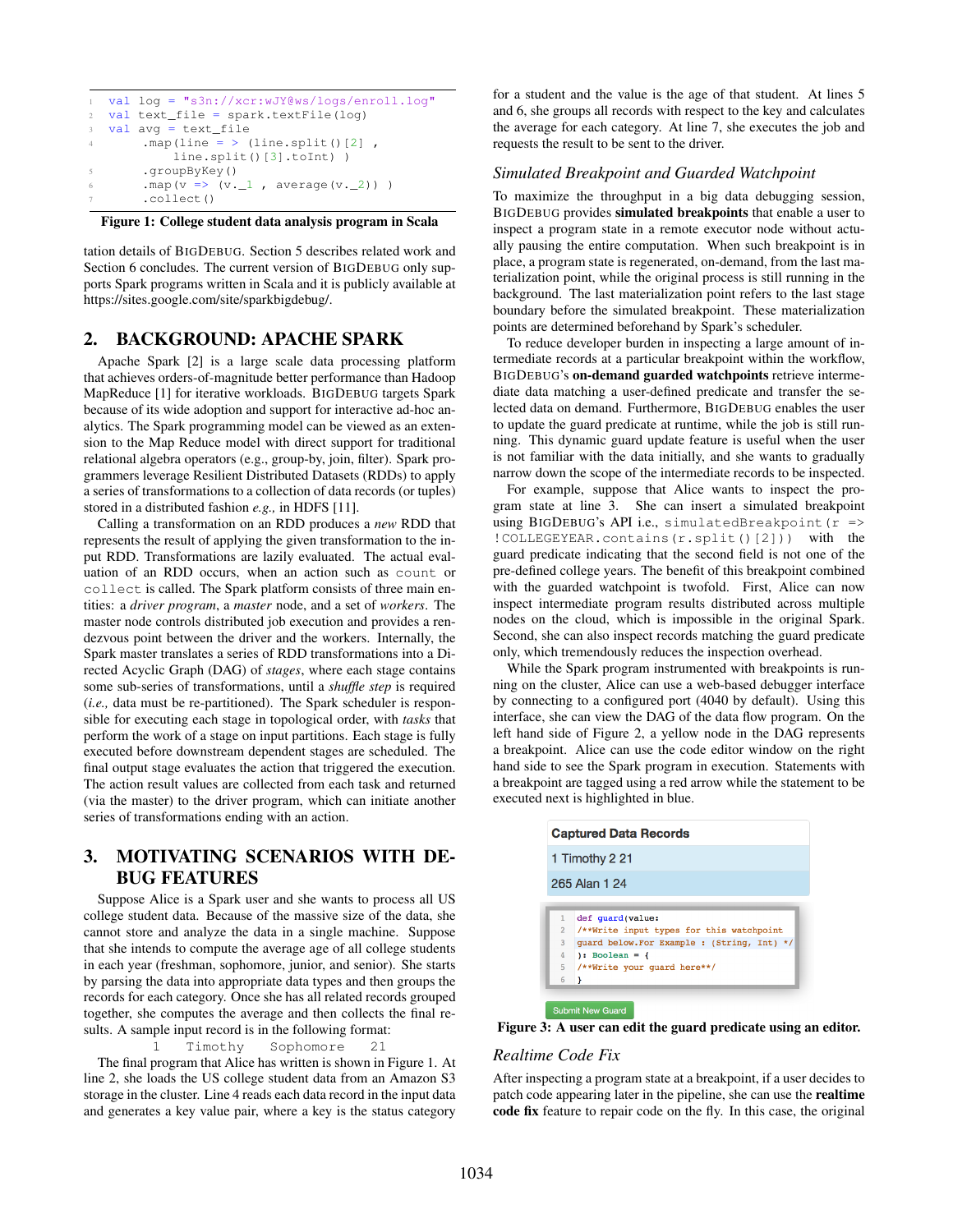```
1 val log = "s3n://xcr:wJY@ws/logs/enroll.log"
2 val text_file = spark.textFile(log)
3 val avg = text_file
        .map(line = > (line.split()[2],
            line.split()[3].toInt))
        .groupByKey()
        .map(v \implies (v \cdot 1, \text{ average}(v \cdot 2)))
        .collect()
```
Figure 1: College student data analysis program in Scala

tation details of BIGDEBUG. Section 5 describes related work and Section 6 concludes. The current version of BIGDEBUG only supports Spark programs written in Scala and it is publicly available at https://sites.google.com/site/sparkbigdebug/.

#### 2. BACKGROUND: APACHE SPARK

Apache Spark [2] is a large scale data processing platform that achieves orders-of-magnitude better performance than Hadoop MapReduce [1] for iterative workloads. BIGDEBUG targets Spark because of its wide adoption and support for interactive ad-hoc analytics. The Spark programming model can be viewed as an extension to the Map Reduce model with direct support for traditional relational algebra operators (e.g., group-by, join, filter). Spark programmers leverage Resilient Distributed Datasets (RDDs) to apply a series of transformations to a collection of data records (or tuples) stored in a distributed fashion *e.g.,* in HDFS [11].

Calling a transformation on an RDD produces a *new* RDD that represents the result of applying the given transformation to the input RDD. Transformations are lazily evaluated. The actual evaluation of an RDD occurs, when an action such as count or collect is called. The Spark platform consists of three main entities: a *driver program*, a *master* node, and a set of *workers*. The master node controls distributed job execution and provides a rendezvous point between the driver and the workers. Internally, the Spark master translates a series of RDD transformations into a Directed Acyclic Graph (DAG) of *stages*, where each stage contains some sub-series of transformations, until a *shuffle step* is required (*i.e.,* data must be re-partitioned). The Spark scheduler is responsible for executing each stage in topological order, with *tasks* that perform the work of a stage on input partitions. Each stage is fully executed before downstream dependent stages are scheduled. The final output stage evaluates the action that triggered the execution. The action result values are collected from each task and returned (via the master) to the driver program, which can initiate another series of transformations ending with an action.

# 3. MOTIVATING SCENARIOS WITH DE-BUG FEATURES

Suppose Alice is a Spark user and she wants to process all US college student data. Because of the massive size of the data, she cannot store and analyze the data in a single machine. Suppose that she intends to compute the average age of all college students in each year (freshman, sophomore, junior, and senior). She starts by parsing the data into appropriate data types and then groups the records for each category. Once she has all related records grouped together, she computes the average and then collects the final results. A sample input record is in the following format:

#### 1 Timothy Sophomore 21

The final program that Alice has written is shown in Figure 1. At line 2, she loads the US college student data from an Amazon S3 storage in the cluster. Line 4 reads each data record in the input data and generates a key value pair, where a key is the status category for a student and the value is the age of that student. At lines 5 and 6, she groups all records with respect to the key and calculates the average for each category. At line 7, she executes the job and requests the result to be sent to the driver.

#### *Simulated Breakpoint and Guarded Watchpoint*

To maximize the throughput in a big data debugging session, BIGDEBUG provides simulated breakpoints that enable a user to inspect a program state in a remote executor node without actually pausing the entire computation. When such breakpoint is in place, a program state is regenerated, on-demand, from the last materialization point, while the original process is still running in the background. The last materialization point refers to the last stage boundary before the simulated breakpoint. These materialization points are determined beforehand by Spark's scheduler.

To reduce developer burden in inspecting a large amount of intermediate records at a particular breakpoint within the workflow, BIGDEBUG's on-demand guarded watchpoints retrieve intermediate data matching a user-defined predicate and transfer the selected data on demand. Furthermore, BIGDEBUG enables the user to update the guard predicate at runtime, while the job is still running. This dynamic guard update feature is useful when the user is not familiar with the data initially, and she wants to gradually narrow down the scope of the intermediate records to be inspected.

For example, suppose that Alice wants to inspect the program state at line 3. She can insert a simulated breakpoint using BIGDEBUG's API i.e., simulatedBreakpoint  $(r =$ !COLLEGEYEAR.contains(r.split()[2])) with the guard predicate indicating that the second field is not one of the pre-defined college years. The benefit of this breakpoint combined with the guarded watchpoint is twofold. First, Alice can now inspect intermediate program results distributed across multiple nodes on the cloud, which is impossible in the original Spark. Second, she can also inspect records matching the guard predicate only, which tremendously reduces the inspection overhead.

While the Spark program instrumented with breakpoints is running on the cluster, Alice can use a web-based debugger interface by connecting to a configured port (4040 by default). Using this interface, she can view the DAG of the data flow program. On the left hand side of Figure 2, a yellow node in the DAG represents a breakpoint. Alice can use the code editor window on the right hand side to see the Spark program in execution. Statements with a breakpoint are tagged using a red arrow while the statement to be executed next is highlighted in blue.



Figure 3: A user can edit the guard predicate using an editor.

#### *Realtime Code Fix*

After inspecting a program state at a breakpoint, if a user decides to patch code appearing later in the pipeline, she can use the realtime code fix feature to repair code on the fly. In this case, the original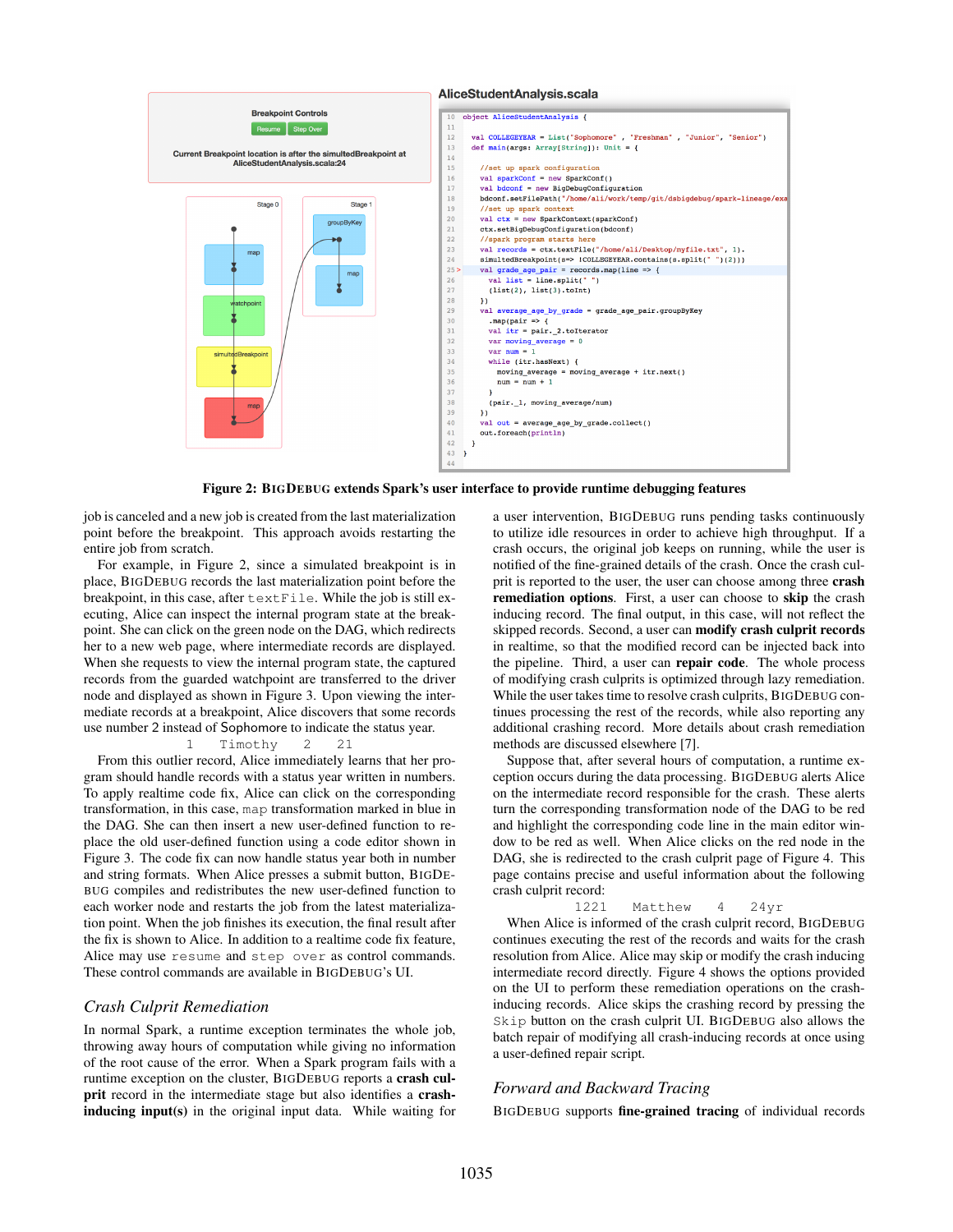

Figure 2: BIGDEBUG extends Spark's user interface to provide runtime debugging features

job is canceled and a new job is created from the last materialization point before the breakpoint. This approach avoids restarting the entire job from scratch.

For example, in Figure 2, since a simulated breakpoint is in place, BIGDEBUG records the last materialization point before the breakpoint, in this case, after textFile. While the job is still executing, Alice can inspect the internal program state at the breakpoint. She can click on the green node on the DAG, which redirects her to a new web page, where intermediate records are displayed. When she requests to view the internal program state, the captured records from the guarded watchpoint are transferred to the driver node and displayed as shown in Figure 3. Upon viewing the intermediate records at a breakpoint, Alice discovers that some records use number 2 instead of Sophomore to indicate the status year.

#### 1 Timothy 2 21

From this outlier record, Alice immediately learns that her program should handle records with a status year written in numbers. To apply realtime code fix, Alice can click on the corresponding transformation, in this case, map transformation marked in blue in the DAG. She can then insert a new user-defined function to replace the old user-defined function using a code editor shown in Figure 3. The code fix can now handle status year both in number and string formats. When Alice presses a submit button, BIGDE-BUG compiles and redistributes the new user-defined function to each worker node and restarts the job from the latest materialization point. When the job finishes its execution, the final result after the fix is shown to Alice. In addition to a realtime code fix feature, Alice may use resume and step over as control commands. These control commands are available in BIGDEBUG's UI.

### *Crash Culprit Remediation*

In normal Spark, a runtime exception terminates the whole job, throwing away hours of computation while giving no information of the root cause of the error. When a Spark program fails with a runtime exception on the cluster, BIGDEBUG reports a crash culprit record in the intermediate stage but also identifies a crashinducing input(s) in the original input data. While waiting for

a user intervention, BIGDEBUG runs pending tasks continuously to utilize idle resources in order to achieve high throughput. If a crash occurs, the original job keeps on running, while the user is notified of the fine-grained details of the crash. Once the crash culprit is reported to the user, the user can choose among three crash remediation options. First, a user can choose to skip the crash inducing record. The final output, in this case, will not reflect the skipped records. Second, a user can modify crash culprit records in realtime, so that the modified record can be injected back into the pipeline. Third, a user can repair code. The whole process of modifying crash culprits is optimized through lazy remediation. While the user takes time to resolve crash culprits, BIGDEBUG continues processing the rest of the records, while also reporting any additional crashing record. More details about crash remediation methods are discussed elsewhere [7].

Suppose that, after several hours of computation, a runtime exception occurs during the data processing. BIGDEBUG alerts Alice on the intermediate record responsible for the crash. These alerts turn the corresponding transformation node of the DAG to be red and highlight the corresponding code line in the main editor window to be red as well. When Alice clicks on the red node in the DAG, she is redirected to the crash culprit page of Figure 4. This page contains precise and useful information about the following crash culprit record:

#### 1221 Matthew 4 24yr

When Alice is informed of the crash culprit record, BIGDEBUG continues executing the rest of the records and waits for the crash resolution from Alice. Alice may skip or modify the crash inducing intermediate record directly. Figure 4 shows the options provided on the UI to perform these remediation operations on the crashinducing records. Alice skips the crashing record by pressing the Skip button on the crash culprit UI. BIGDEBUG also allows the batch repair of modifying all crash-inducing records at once using a user-defined repair script.

#### *Forward and Backward Tracing*

BIGDEBUG supports fine-grained tracing of individual records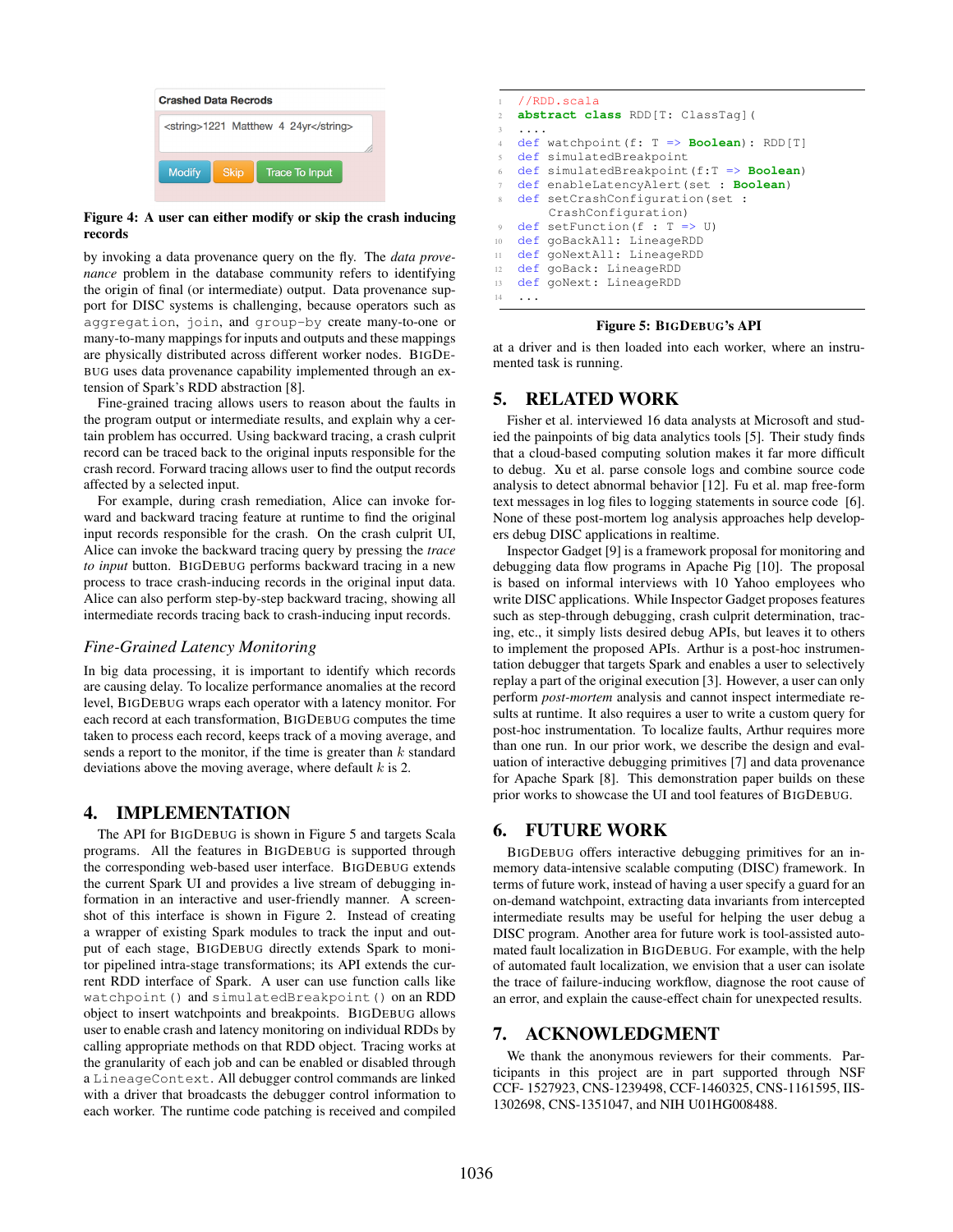| <b>Crashed Data Recrods</b>          |             |                       |
|--------------------------------------|-------------|-----------------------|
| <string>1221 Matthew 4 24yr</string> |             |                       |
| <b>Modify</b>                        | <b>Skip</b> | <b>Trace To Input</b> |

Figure 4: A user can either modify or skip the crash inducing records

by invoking a data provenance query on the fly. The *data provenance* problem in the database community refers to identifying the origin of final (or intermediate) output. Data provenance support for DISC systems is challenging, because operators such as aggregation, join, and group-by create many-to-one or many-to-many mappings for inputs and outputs and these mappings are physically distributed across different worker nodes. BIGDE-BUG uses data provenance capability implemented through an extension of Spark's RDD abstraction [8].

Fine-grained tracing allows users to reason about the faults in the program output or intermediate results, and explain why a certain problem has occurred. Using backward tracing, a crash culprit record can be traced back to the original inputs responsible for the crash record. Forward tracing allows user to find the output records affected by a selected input.

For example, during crash remediation, Alice can invoke forward and backward tracing feature at runtime to find the original input records responsible for the crash. On the crash culprit UI, Alice can invoke the backward tracing query by pressing the *trace to input* button. BIGDEBUG performs backward tracing in a new process to trace crash-inducing records in the original input data. Alice can also perform step-by-step backward tracing, showing all intermediate records tracing back to crash-inducing input records.

### *Fine-Grained Latency Monitoring*

In big data processing, it is important to identify which records are causing delay. To localize performance anomalies at the record level, BIGDEBUG wraps each operator with a latency monitor. For each record at each transformation, BIGDEBUG computes the time taken to process each record, keeps track of a moving average, and sends a report to the monitor, if the time is greater than  $k$  standard deviations above the moving average, where default  $k$  is 2.

# 4. IMPLEMENTATION

The API for BIGDEBUG is shown in Figure 5 and targets Scala programs. All the features in BIGDEBUG is supported through the corresponding web-based user interface. BIGDEBUG extends the current Spark UI and provides a live stream of debugging information in an interactive and user-friendly manner. A screenshot of this interface is shown in Figure 2. Instead of creating a wrapper of existing Spark modules to track the input and output of each stage, BIGDEBUG directly extends Spark to monitor pipelined intra-stage transformations; its API extends the current RDD interface of Spark. A user can use function calls like watchpoint() and simulatedBreakpoint() on an RDD object to insert watchpoints and breakpoints. BIGDEBUG allows user to enable crash and latency monitoring on individual RDDs by calling appropriate methods on that RDD object. Tracing works at the granularity of each job and can be enabled or disabled through a LineageContext. All debugger control commands are linked with a driver that broadcasts the debugger control information to each worker. The runtime code patching is received and compiled

```
1 //RDD.scala
2 abstract class RDD[T: ClassTag](
3 ....
   4 def watchpoint(f: T => Boolean): RDD[T]
5 def simulatedBreakpoint
   6 def simulatedBreakpoint(f:T => Boolean)
   7 def enableLatencyAlert(set : Boolean)
   def setCrashConfiguration(set :
       CrashConfiguration)
   def setFunction(f : T => U)
10 def goBackAll: LineageRDD
11 def goNextAll: LineageRDD
12 def goBack: LineageRDD
13 def goNext: LineageRDD
14 ...
```
#### Figure 5: BIGDEBUG's API

at a driver and is then loaded into each worker, where an instrumented task is running.

# 5. RELATED WORK

Fisher et al. interviewed 16 data analysts at Microsoft and studied the painpoints of big data analytics tools [5]. Their study finds that a cloud-based computing solution makes it far more difficult to debug. Xu et al. parse console logs and combine source code analysis to detect abnormal behavior [12]. Fu et al. map free-form text messages in log files to logging statements in source code [6]. None of these post-mortem log analysis approaches help developers debug DISC applications in realtime.

Inspector Gadget [9] is a framework proposal for monitoring and debugging data flow programs in Apache Pig [10]. The proposal is based on informal interviews with 10 Yahoo employees who write DISC applications. While Inspector Gadget proposes features such as step-through debugging, crash culprit determination, tracing, etc., it simply lists desired debug APIs, but leaves it to others to implement the proposed APIs. Arthur is a post-hoc instrumentation debugger that targets Spark and enables a user to selectively replay a part of the original execution [3]. However, a user can only perform *post-mortem* analysis and cannot inspect intermediate results at runtime. It also requires a user to write a custom query for post-hoc instrumentation. To localize faults, Arthur requires more than one run. In our prior work, we describe the design and evaluation of interactive debugging primitives [7] and data provenance for Apache Spark [8]. This demonstration paper builds on these prior works to showcase the UI and tool features of BIGDEBUG.

# 6. FUTURE WORK

BIGDEBUG offers interactive debugging primitives for an inmemory data-intensive scalable computing (DISC) framework. In terms of future work, instead of having a user specify a guard for an on-demand watchpoint, extracting data invariants from intercepted intermediate results may be useful for helping the user debug a DISC program. Another area for future work is tool-assisted automated fault localization in BIGDEBUG. For example, with the help of automated fault localization, we envision that a user can isolate the trace of failure-inducing workflow, diagnose the root cause of an error, and explain the cause-effect chain for unexpected results.

# 7. ACKNOWLEDGMENT

We thank the anonymous reviewers for their comments. Participants in this project are in part supported through NSF CCF- 1527923, CNS-1239498, CCF-1460325, CNS-1161595, IIS-1302698, CNS-1351047, and NIH U01HG008488.